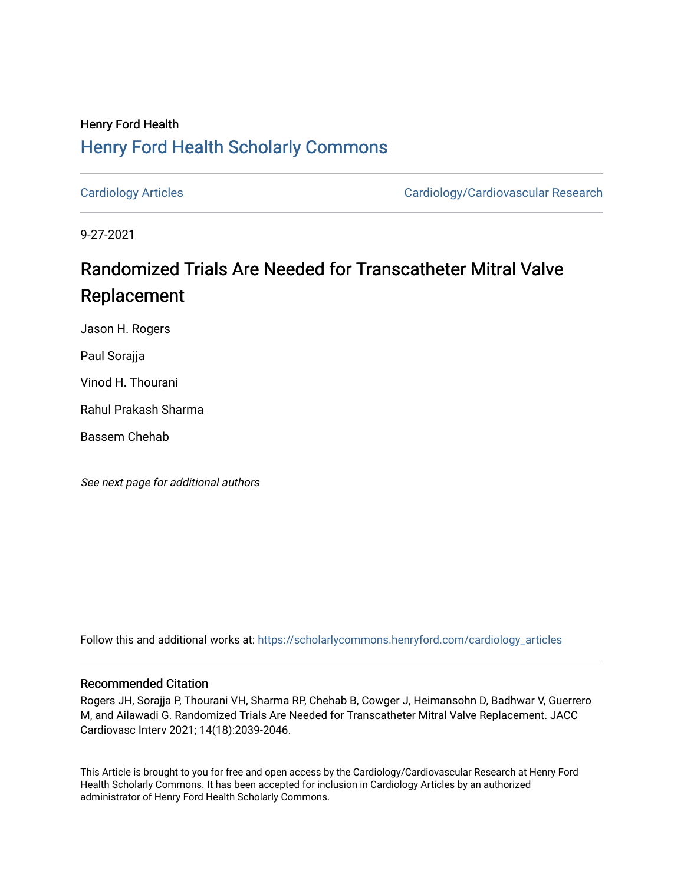## Henry Ford Health [Henry Ford Health Scholarly Commons](https://scholarlycommons.henryford.com/)

[Cardiology Articles](https://scholarlycommons.henryford.com/cardiology_articles) [Cardiology/Cardiovascular Research](https://scholarlycommons.henryford.com/cardiology) 

9-27-2021

# Randomized Trials Are Needed for Transcatheter Mitral Valve Replacement

Jason H. Rogers

Paul Sorajja

Vinod H. Thourani

Rahul Prakash Sharma

Bassem Chehab

See next page for additional authors

Follow this and additional works at: [https://scholarlycommons.henryford.com/cardiology\\_articles](https://scholarlycommons.henryford.com/cardiology_articles?utm_source=scholarlycommons.henryford.com%2Fcardiology_articles%2F813&utm_medium=PDF&utm_campaign=PDFCoverPages)

## Recommended Citation

Rogers JH, Sorajja P, Thourani VH, Sharma RP, Chehab B, Cowger J, Heimansohn D, Badhwar V, Guerrero M, and Ailawadi G. Randomized Trials Are Needed for Transcatheter Mitral Valve Replacement. JACC Cardiovasc Interv 2021; 14(18):2039-2046.

This Article is brought to you for free and open access by the Cardiology/Cardiovascular Research at Henry Ford Health Scholarly Commons. It has been accepted for inclusion in Cardiology Articles by an authorized administrator of Henry Ford Health Scholarly Commons.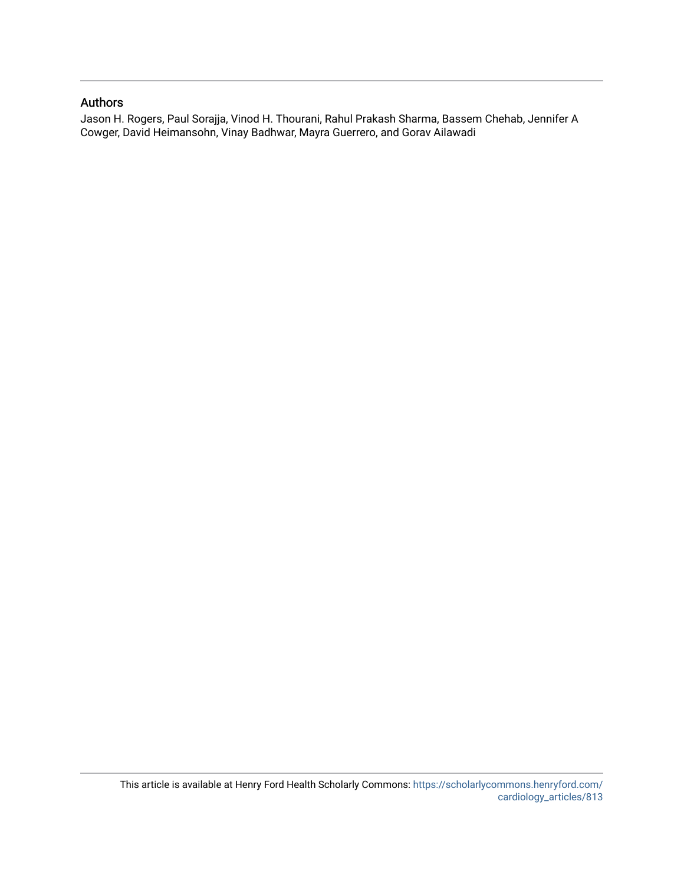### Authors

Jason H. Rogers, Paul Sorajja, Vinod H. Thourani, Rahul Prakash Sharma, Bassem Chehab, Jennifer A Cowger, David Heimansohn, Vinay Badhwar, Mayra Guerrero, and Gorav Ailawadi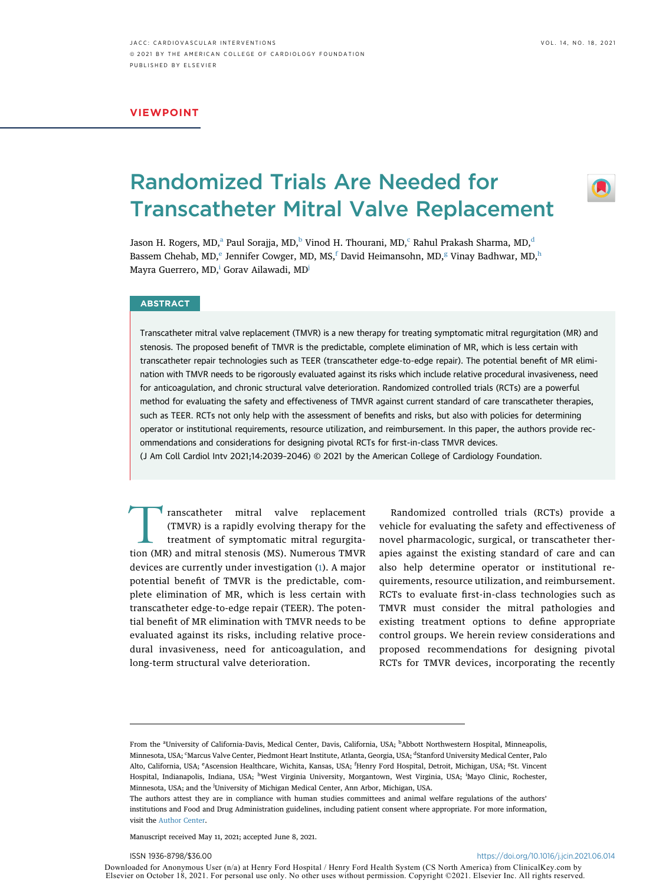#### VIEWPOINT

## Randomized Trials Are Needed for Transcatheter Mitral Valve Replacement

Jason H. Rogers, MD,<sup>a</sup> Paul Sorajja, MD,<sup>b</sup> Vinod H. Thourani, MD,<sup>[c](#page-2-1)</sup> Rahul Prakash Sharma, MD,<sup>d</sup> Bass[e](#page-2-2)m Chehab, MD,<sup>e</sup> Jenni[f](#page-2-2)er Cow[g](#page-2-2)er, MD, MS,<sup>f</sup> David Heimansohn, MD,<sup>g</sup> Vinay Badhwar, MD[,h](#page-2-3) Mayra Guerrero, MD,<sup>i</sup> Gorav Ailawadi, MD<sup>j</sup>

#### **ABSTRACT**

Transcatheter mitral valve replacement (TMVR) is a new therapy for treating symptomatic mitral regurgitation (MR) and stenosis. The proposed benefit of TMVR is the predictable, complete elimination of MR, which is less certain with transcatheter repair technologies such as TEER (transcatheter edge-to-edge repair). The potential benefit of MR elimination with TMVR needs to be rigorously evaluated against its risks which include relative procedural invasiveness, need for anticoagulation, and chronic structural valve deterioration. Randomized controlled trials (RCTs) are a powerful method for evaluating the safety and effectiveness of TMVR against current standard of care transcatheter therapies, such as TEER. RCTs not only help with the assessment of benefits and risks, but also with policies for determining operator or institutional requirements, resource utilization, and reimbursement. In this paper, the authors provide recommendations and considerations for designing pivotal RCTs for first-in-class TMVR devices.

(J Am Coll Cardiol Intv 2021;14:2039–2046) © 2021 by the American College of Cardiology Foundation.

Transcatheter mitral valve replacement<br>
(TMVR) is a rapidly evolving therapy for the<br>
treatment of symptomatic mitral regurgita-<br>
tion (MR) and mitral stenosis (MS). Numerous TMVR (TMVR) is a rapidly evolving therapy for the treatment of symptomatic mitral regurgitation (MR) and mitral stenosis (MS). Numerous TMVR devices are currently under investigation [\(1\)](#page-9-0). A major potential benefit of TMVR is the predictable, complete elimination of MR, which is less certain with transcatheter edge-to-edge repair (TEER). The potential benefit of MR elimination with TMVR needs to be evaluated against its risks, including relative procedural invasiveness, need for anticoagulation, and long-term structural valve deterioration.

Randomized controlled trials (RCTs) provide a vehicle for evaluating the safety and effectiveness of novel pharmacologic, surgical, or transcatheter therapies against the existing standard of care and can also help determine operator or institutional requirements, resource utilization, and reimbursement. RCTs to evaluate first-in-class technologies such as TMVR must consider the mitral pathologies and existing treatment options to define appropriate control groups. We herein review considerations and proposed recommendations for designing pivotal RCTs for TMVR devices, incorporating the recently

Manuscript received May 11, 2021; accepted June 8, 2021.

Downloaded for Anonymous User (n/a) at Henry Ford Hospital / Henry Ford Health System (CS North America) from ClinicalKey.com by Elsevier on October 18, 2021. For personal use only. No other uses without permission. Copyright ©2021. Elsevier Inc. All rights reserved.

<span id="page-2-2"></span><span id="page-2-1"></span><span id="page-2-0"></span>From the <sup>a</sup>University of California-Davis, Medical Center, Davis, California, USA; <sup>b</sup>Abbott Northwestern Hospital, Minneapolis, Minnesota, USA; <sup>c</sup>Marcus Valve Center, Piedmont Heart Institute, Atlanta, Georgia, USA; <sup>d</sup>Stanford University Medical Center, Palo Alto, California, USA; <sup>e</sup>Ascension Healthcare, Wichita, Kansas, USA; <sup>f</sup>Henry Ford Hospital, Detroit, Michigan, USA; <sup>g</sup>St. Vincent Hospital, Indianapolis, Indiana, USA; <sup>h</sup>West Virginia University, Morgantown, West Virginia, USA; <sup>i</sup>Mayo Clinic, Rochester, Minnesota, USA; and the <sup>j</sup>University of Michigan Medical Center, Ann Arbor, Michigan, USA.

<span id="page-2-4"></span><span id="page-2-3"></span>The authors attest they are in compliance with human studies committees and animal welfare regulations of the authors' institutions and Food and Drug Administration guidelines, including patient consent where appropriate. For more information, visit the [Author Center](https://www.jacc.org/author-center).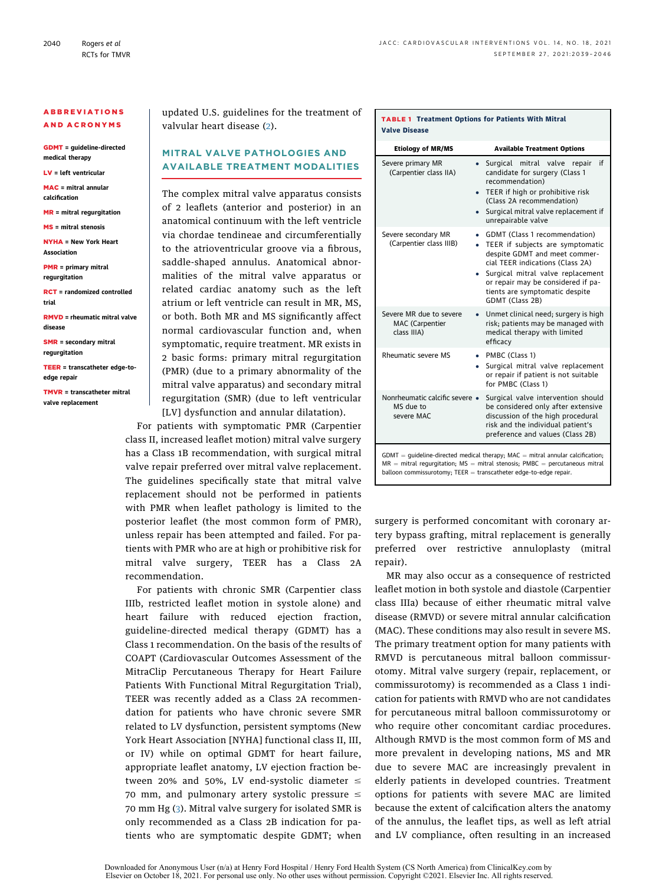#### ABBREVIATIONS AND ACRONYMS

GDMT = guideline-directed medical therapy

LV = left ventricular

MAC = mitral annular calcification

MR = mitral regurgitation

MS = mitral stenosis

NYHA = New York Heart Association

PMR = primary mitral regurgitation

RCT = randomized controlled trial

RMVD = rheumatic mitral valve disease

SMR = secondary mitral regurgitation

TEER = transcatheter edge-toedge repair

TMVR = transcatheter mitral valve replacement

updated U.S. guidelines for the treatment of valvular heart disease ([2\)](#page-9-1).

### MITRAL VALVE PATHOLOGIES AND AVAILABLE TREATMENT MODALITIES

The complex mitral valve apparatus consists of 2 leaflets (anterior and posterior) in an anatomical continuum with the left ventricle via chordae tendineae and circumferentially to the atrioventricular groove via a fibrous, saddle-shaped annulus. Anatomical abnormalities of the mitral valve apparatus or related cardiac anatomy such as the left atrium or left ventricle can result in MR, MS, or both. Both MR and MS significantly affect normal cardiovascular function and, when symptomatic, require treatment. MR exists in 2 basic forms: primary mitral regurgitation (PMR) (due to a primary abnormality of the mitral valve apparatus) and secondary mitral regurgitation (SMR) (due to left ventricular [LV] dysfunction and annular dilatation).

For patients with symptomatic PMR (Carpentier class II, increased leaflet motion) mitral valve surgery has a Class 1B recommendation, with surgical mitral valve repair preferred over mitral valve replacement. The guidelines specifically state that mitral valve replacement should not be performed in patients with PMR when leaflet pathology is limited to the posterior leaflet (the most common form of PMR), unless repair has been attempted and failed. For patients with PMR who are at high or prohibitive risk for mitral valve surgery, TEER has a Class 2A recommendation.

For patients with chronic SMR (Carpentier class IIIb, restricted leaflet motion in systole alone) and heart failure with reduced ejection fraction, guideline-directed medical therapy (GDMT) has a Class 1 recommendation. On the basis of the results of COAPT (Cardiovascular Outcomes Assessment of the MitraClip Percutaneous Therapy for Heart Failure Patients With Functional Mitral Regurgitation Trial), TEER was recently added as a Class 2A recommendation for patients who have chronic severe SMR related to LV dysfunction, persistent symptoms (New York Heart Association [NYHA] functional class II, III, or IV) while on optimal GDMT for heart failure, appropriate leaflet anatomy, LV ejection fraction between 20% and 50%, LV end-systolic diameter  $\leq$ 70 mm, and pulmonary artery systolic pressure  $\leq$ 70 mm Hg ([3\)](#page-9-2). Mitral valve surgery for isolated SMR is only recommended as a Class 2B indication for patients who are symptomatic despite GDMT; when

#### <span id="page-3-0"></span>TABLE 1 Treatment Options for Patients With Mitral Valve Disease

| <b>Etiology of MR/MS</b>                                                                                                                                         | <b>Available Treatment Options</b>                                                                                                                                                                                                                                               |  |
|------------------------------------------------------------------------------------------------------------------------------------------------------------------|----------------------------------------------------------------------------------------------------------------------------------------------------------------------------------------------------------------------------------------------------------------------------------|--|
| Severe primary MR<br>(Carpentier class IIA)                                                                                                                      | if<br>Surgical mitral valve<br>repair<br>$\bullet$<br>candidate for surgery (Class 1<br>recommendation)<br>TEER if high or prohibitive risk<br>(Class 2A recommendation)<br>Surgical mitral valve replacement if<br>٠<br>unrepairable valve                                      |  |
| Severe secondary MR<br>(Carpentier class IIIB)                                                                                                                   | GDMT (Class 1 recommendation)<br>٠<br>TEER if subjects are symptomatic<br>despite GDMT and meet commer-<br>cial TEER indications (Class 2A)<br>Surgical mitral valve replacement<br>٠<br>or repair may be considered if pa-<br>tients are symptomatic despite<br>GDMT (Class 2B) |  |
| Severe MR due to severe<br><b>MAC</b> (Carpentier<br>class IIIA)                                                                                                 | Unmet clinical need; surgery is high<br>$\bullet$<br>risk; patients may be managed with<br>medical therapy with limited<br>efficacv                                                                                                                                              |  |
| Rheumatic severe MS                                                                                                                                              | PMBC (Class 1)<br>٠<br>Surgical mitral valve replacement<br>٠<br>or repair if patient is not suitable<br>for PMBC (Class 1)                                                                                                                                                      |  |
| Nonrheumatic calcific severe •<br>MS due to<br>severe MAC                                                                                                        | Surgical valve intervention should<br>be considered only after extensive<br>discussion of the high procedural<br>risk and the individual patient's<br>preference and values (Class 2B)                                                                                           |  |
| $GDMT =$ quideline-directed medical therapy; MAC = mitral annular calcification;<br>and the communication (MC) and the change of DMDC and construction and the l |                                                                                                                                                                                                                                                                                  |  |

MR = mitral regurgitation; MS = mitral stenosis; PMBC = percutaneous mitral<br>balloon commissurotomy; TEER = transcatheter edge-to-edge repair.

surgery is performed concomitant with coronary artery bypass grafting, mitral replacement is generally preferred over restrictive annuloplasty (mitral repair).

MR may also occur as a consequence of restricted leaflet motion in both systole and diastole (Carpentier class IIIa) because of either rheumatic mitral valve disease (RMVD) or severe mitral annular calcification (MAC). These conditions may also result in severe MS. The primary treatment option for many patients with RMVD is percutaneous mitral balloon commissurotomy. Mitral valve surgery (repair, replacement, or commissurotomy) is recommended as a Class 1 indication for patients with RMVD who are not candidates for percutaneous mitral balloon commissurotomy or who require other concomitant cardiac procedures. Although RMVD is the most common form of MS and more prevalent in developing nations, MS and MR due to severe MAC are increasingly prevalent in elderly patients in developed countries. Treatment options for patients with severe MAC are limited because the extent of calcification alters the anatomy of the annulus, the leaflet tips, as well as left atrial and LV compliance, often resulting in an increased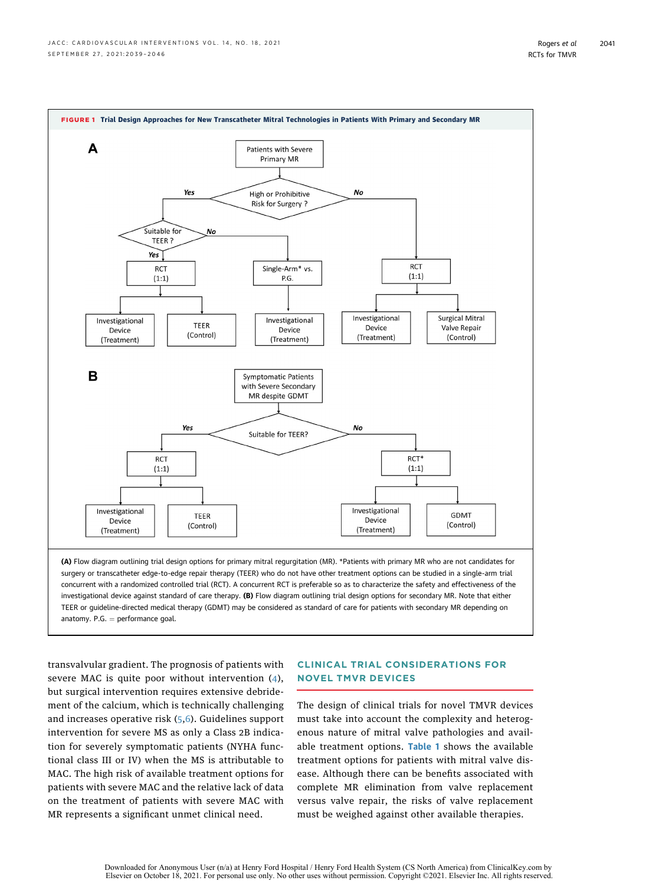<span id="page-4-0"></span>

transvalvular gradient. The prognosis of patients with severe MAC is quite poor without intervention ([4\)](#page-9-3), but surgical intervention requires extensive debridement of the calcium, which is technically challenging and increases operative risk ([5](#page-9-4),[6\)](#page-9-5). Guidelines support intervention for severe MS as only a Class 2B indication for severely symptomatic patients (NYHA functional class III or IV) when the MS is attributable to MAC. The high risk of available treatment options for patients with severe MAC and the relative lack of data on the treatment of patients with severe MAC with MR represents a significant unmet clinical need.

#### CLINICAL TRIAL CONSIDERATIONS FOR NOVEL TMVR DEVICES

The design of clinical trials for novel TMVR devices must take into account the complexity and heterogenous nature of mitral valve pathologies and avail-able treatment options. [Table 1](#page-3-0) shows the available treatment options for patients with mitral valve disease. Although there can be benefits associated with complete MR elimination from valve replacement versus valve repair, the risks of valve replacement must be weighed against other available therapies.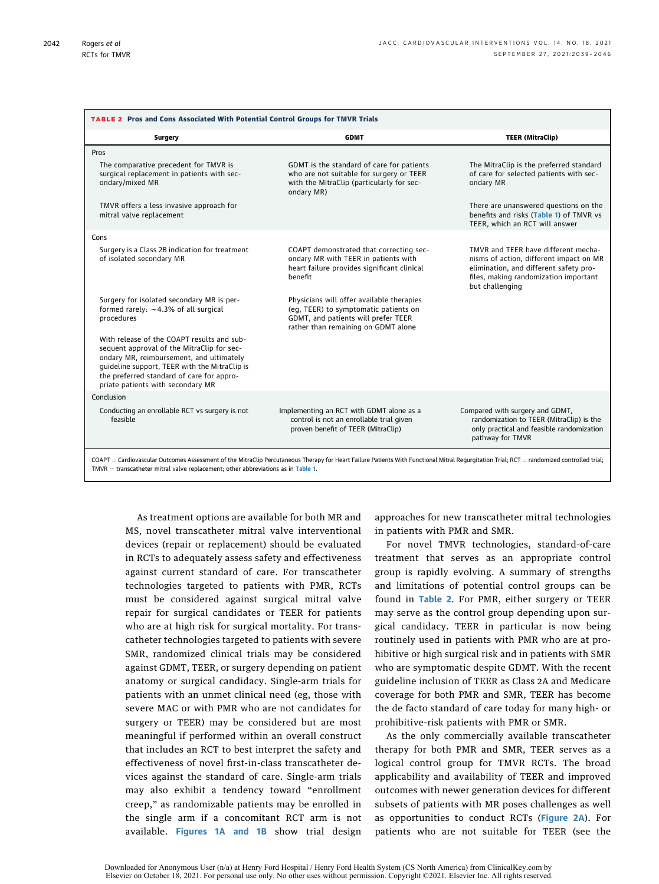<span id="page-5-0"></span>

| TABLE 2 Pros and Cons Associated With Potential Control Groups for TMVR Trials                                                                                                                                                                                                           |                                                                                                                                                                  |                                                                                                                                                                                      |  |
|------------------------------------------------------------------------------------------------------------------------------------------------------------------------------------------------------------------------------------------------------------------------------------------|------------------------------------------------------------------------------------------------------------------------------------------------------------------|--------------------------------------------------------------------------------------------------------------------------------------------------------------------------------------|--|
| Surgery                                                                                                                                                                                                                                                                                  | <b>GDMT</b>                                                                                                                                                      | <b>TEER (MitraClip)</b>                                                                                                                                                              |  |
| Pros                                                                                                                                                                                                                                                                                     |                                                                                                                                                                  |                                                                                                                                                                                      |  |
| The comparative precedent for TMVR is<br>surgical replacement in patients with sec-<br>ondary/mixed MR                                                                                                                                                                                   | GDMT is the standard of care for patients<br>who are not suitable for surgery or TEER<br>with the MitraClip (particularly for sec-<br>ondary MR)                 | The MitraClip is the preferred standard<br>of care for selected patients with sec-<br>ondary MR                                                                                      |  |
| TMVR offers a less invasive approach for<br>mitral valve replacement                                                                                                                                                                                                                     |                                                                                                                                                                  | There are unanswered questions on the<br>benefits and risks (Table 1) of TMVR vs<br>TEER, which an RCT will answer                                                                   |  |
| Cons                                                                                                                                                                                                                                                                                     |                                                                                                                                                                  |                                                                                                                                                                                      |  |
| Surgery is a Class 2B indication for treatment<br>of isolated secondary MR                                                                                                                                                                                                               | COAPT demonstrated that correcting sec-<br>ondary MR with TEER in patients with<br>heart failure provides significant clinical<br>benefit                        | TMVR and TEER have different mecha-<br>nisms of action, different impact on MR<br>elimination, and different safety pro-<br>files, making randomization important<br>but challenging |  |
| Surgery for isolated secondary MR is per-<br>formed rarely: $\sim$ 4.3% of all surgical<br>procedures                                                                                                                                                                                    | Physicians will offer available therapies<br>(eq. TEER) to symptomatic patients on<br>GDMT, and patients will prefer TEER<br>rather than remaining on GDMT alone |                                                                                                                                                                                      |  |
| With release of the COAPT results and sub-<br>sequent approval of the MitraClip for sec-<br>ondary MR, reimbursement, and ultimately<br>guideline support, TEER with the MitraClip is<br>the preferred standard of care for appro-<br>priate patients with secondary MR                  |                                                                                                                                                                  |                                                                                                                                                                                      |  |
| Conclusion                                                                                                                                                                                                                                                                               |                                                                                                                                                                  |                                                                                                                                                                                      |  |
| Conducting an enrollable RCT vs surgery is not<br>feasible                                                                                                                                                                                                                               | Implementing an RCT with GDMT alone as a<br>control is not an enrollable trial given<br>proven benefit of TEER (MitraClip)                                       | Compared with surgery and GDMT,<br>randomization to TEER (MitraClip) is the<br>only practical and feasible randomization<br>pathway for TMVR                                         |  |
| COAPT = Cardiovascular Outcomes Assessment of the MitraClip Percutaneous Therapy for Heart Failure Patients With Functional Mitral Regurgitation Trial; RCT = randomized controlled trial;<br>$TMVR = \text{transcatheter mitral valve replacement; other abbreviations as in Table 1.}$ |                                                                                                                                                                  |                                                                                                                                                                                      |  |

As treatment options are available for both MR and MS, novel transcatheter mitral valve interventional devices (repair or replacement) should be evaluated in RCTs to adequately assess safety and effectiveness against current standard of care. For transcatheter technologies targeted to patients with PMR, RCTs must be considered against surgical mitral valve repair for surgical candidates or TEER for patients who are at high risk for surgical mortality. For transcatheter technologies targeted to patients with severe SMR, randomized clinical trials may be considered against GDMT, TEER, or surgery depending on patient anatomy or surgical candidacy. Single-arm trials for patients with an unmet clinical need (eg, those with severe MAC or with PMR who are not candidates for surgery or TEER) may be considered but are most meaningful if performed within an overall construct that includes an RCT to best interpret the safety and effectiveness of novel first-in-class transcatheter devices against the standard of care. Single-arm trials may also exhibit a tendency toward "enrollment creep," as randomizable patients may be enrolled in the single arm if a concomitant RCT arm is not available. [Figures 1A and 1B](#page-4-0) show trial design approaches for new transcatheter mitral technologies in patients with PMR and SMR.

For novel TMVR technologies, standard-of-care treatment that serves as an appropriate control group is rapidly evolving. A summary of strengths and limitations of potential control groups can be found in [Table 2](#page-5-0). For PMR, either surgery or TEER may serve as the control group depending upon surgical candidacy. TEER in particular is now being routinely used in patients with PMR who are at prohibitive or high surgical risk and in patients with SMR who are symptomatic despite GDMT. With the recent guideline inclusion of TEER as Class 2A and Medicare coverage for both PMR and SMR, TEER has become the de facto standard of care today for many high- or prohibitive-risk patients with PMR or SMR.

As the only commercially available transcatheter therapy for both PMR and SMR, TEER serves as a logical control group for TMVR RCTs. The broad applicability and availability of TEER and improved outcomes with newer generation devices for different subsets of patients with MR poses challenges as well as opportunities to conduct RCTs ([Figure 2A](#page-6-0)). For patients who are not suitable for TEER (see the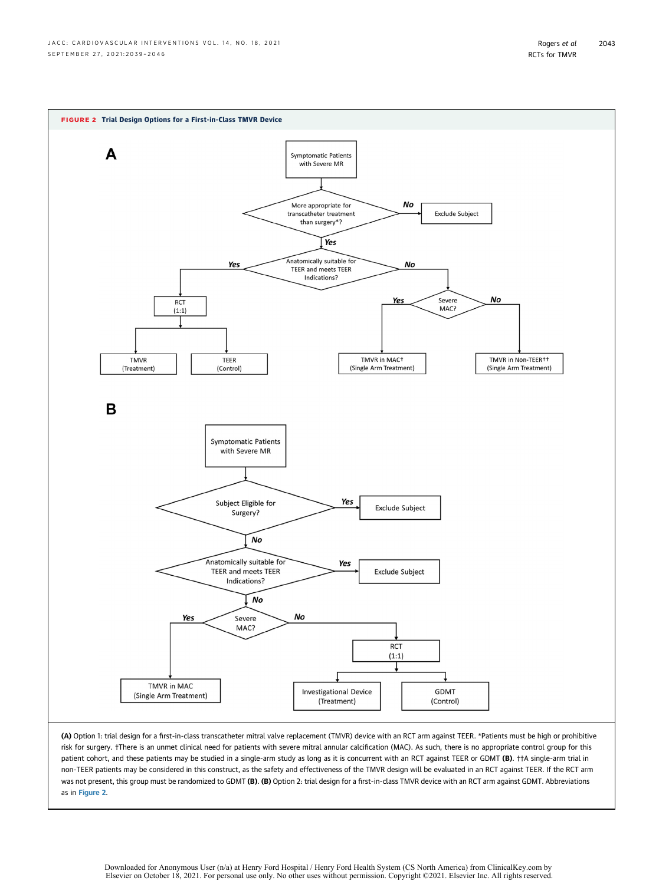<span id="page-6-0"></span>

as in [Figure 2](#page-6-0).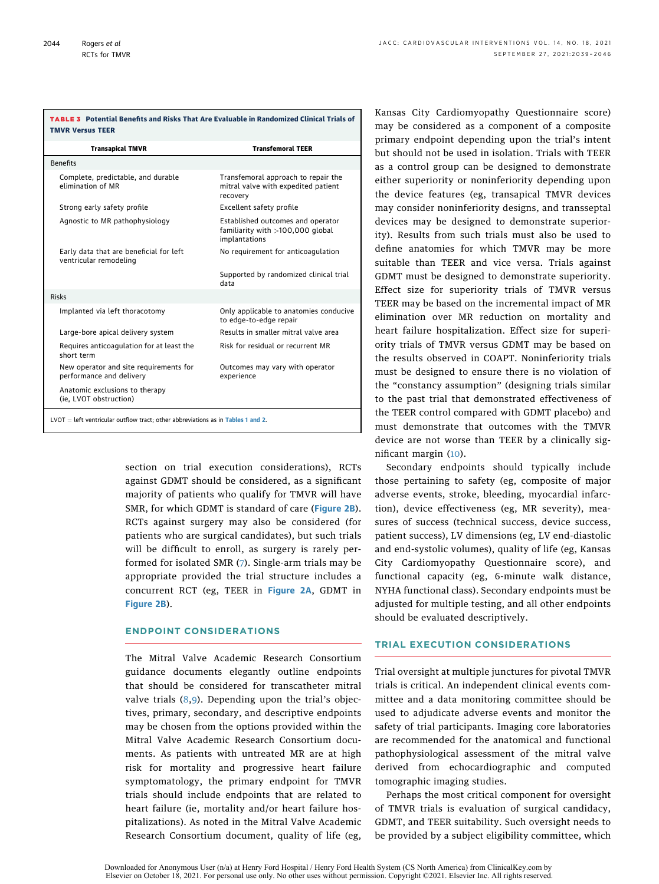<span id="page-7-0"></span>

| <b>TABLE 3</b> Potential Benefits and Risks That Are Evaluable in Randomized Clinical Trials of<br><b>TMVR Versus TEER</b> |                                                                                          |  |
|----------------------------------------------------------------------------------------------------------------------------|------------------------------------------------------------------------------------------|--|
| <b>Transapical TMVR</b>                                                                                                    | <b>Transfemoral TEER</b>                                                                 |  |
| <b>Benefits</b>                                                                                                            |                                                                                          |  |
| Complete, predictable, and durable<br>elimination of MR                                                                    | Transfemoral approach to repair the<br>mitral valve with expedited patient<br>recovery   |  |
| Strong early safety profile                                                                                                | Excellent safety profile                                                                 |  |
| Agnostic to MR pathophysiology                                                                                             | Established outcomes and operator<br>familiarity with $>100,000$ global<br>implantations |  |
| Early data that are beneficial for left<br>ventricular remodeling                                                          | No requirement for anticoagulation                                                       |  |
|                                                                                                                            | Supported by randomized clinical trial<br>data                                           |  |
|                                                                                                                            |                                                                                          |  |

Risks Implanted via left thoracotomy Only applicable to anatomies conducive to edge-to-edge repair Large-bore apical delivery system Results in smaller mitral valve area Requires anticoagulation for at least the short term Risk for residual or recurrent MR New operator and site requirements for performance and delivery Outcomes may vary with operator experience Anatomic exclusions to therapy (ie, LVOT obstruction)  $LVOT = left$  ventricular outflow tract; other abbreviations as in [Tables 1](#page-3-0) and [2](#page-5-0).

> section on trial execution considerations), RCTs against GDMT should be considered, as a significant majority of patients who qualify for TMVR will have SMR, for which GDMT is standard of care ([Figure 2B](#page-6-0)). RCTs against surgery may also be considered (for patients who are surgical candidates), but such trials will be difficult to enroll, as surgery is rarely performed for isolated SMR ([7\)](#page-9-6). Single-arm trials may be appropriate provided the trial structure includes a concurrent RCT (eg, TEER in [Figure 2A](#page-6-0), GDMT in [Figure 2B](#page-6-0)).

#### ENDPOINT CONSIDERATIONS

The Mitral Valve Academic Research Consortium guidance documents elegantly outline endpoints that should be considered for transcatheter mitral valve trials [\(8](#page-9-7),[9](#page-9-8)). Depending upon the trial's objectives, primary, secondary, and descriptive endpoints may be chosen from the options provided within the Mitral Valve Academic Research Consortium documents. As patients with untreated MR are at high risk for mortality and progressive heart failure symptomatology, the primary endpoint for TMVR trials should include endpoints that are related to heart failure (ie, mortality and/or heart failure hospitalizations). As noted in the Mitral Valve Academic Research Consortium document, quality of life (eg,

Kansas City Cardiomyopathy Questionnaire score) may be considered as a component of a composite primary endpoint depending upon the trial's intent but should not be used in isolation. Trials with TEER as a control group can be designed to demonstrate either superiority or noninferiority depending upon the device features (eg, transapical TMVR devices may consider noninferiority designs, and transseptal devices may be designed to demonstrate superiority). Results from such trials must also be used to define anatomies for which TMVR may be more suitable than TEER and vice versa. Trials against GDMT must be designed to demonstrate superiority. Effect size for superiority trials of TMVR versus TEER may be based on the incremental impact of MR elimination over MR reduction on mortality and heart failure hospitalization. Effect size for superiority trials of TMVR versus GDMT may be based on the results observed in COAPT. Noninferiority trials must be designed to ensure there is no violation of the "constancy assumption" (designing trials similar to the past trial that demonstrated effectiveness of the TEER control compared with GDMT placebo) and must demonstrate that outcomes with the TMVR device are not worse than TEER by a clinically significant margin ([10](#page-9-9)).

Secondary endpoints should typically include those pertaining to safety (eg, composite of major adverse events, stroke, bleeding, myocardial infarction), device effectiveness (eg, MR severity), measures of success (technical success, device success, patient success), LV dimensions (eg, LV end-diastolic and end-systolic volumes), quality of life (eg, Kansas City Cardiomyopathy Questionnaire score), and functional capacity (eg, 6-minute walk distance, NYHA functional class). Secondary endpoints must be adjusted for multiple testing, and all other endpoints should be evaluated descriptively.

#### TRIAL EXECUTION CONSIDERATIONS

Trial oversight at multiple junctures for pivotal TMVR trials is critical. An independent clinical events committee and a data monitoring committee should be used to adjudicate adverse events and monitor the safety of trial participants. Imaging core laboratories are recommended for the anatomical and functional pathophysiological assessment of the mitral valve derived from echocardiographic and computed tomographic imaging studies.

Perhaps the most critical component for oversight of TMVR trials is evaluation of surgical candidacy, GDMT, and TEER suitability. Such oversight needs to be provided by a subject eligibility committee, which

Downloaded for Anonymous User (n/a) at Henry Ford Hospital / Henry Ford Health System (CS North America) from ClinicalKey.com by Elsevier on October 18, 2021. For personal use only. No other uses without permission. Copyright ©2021. Elsevier Inc. All rights reserved.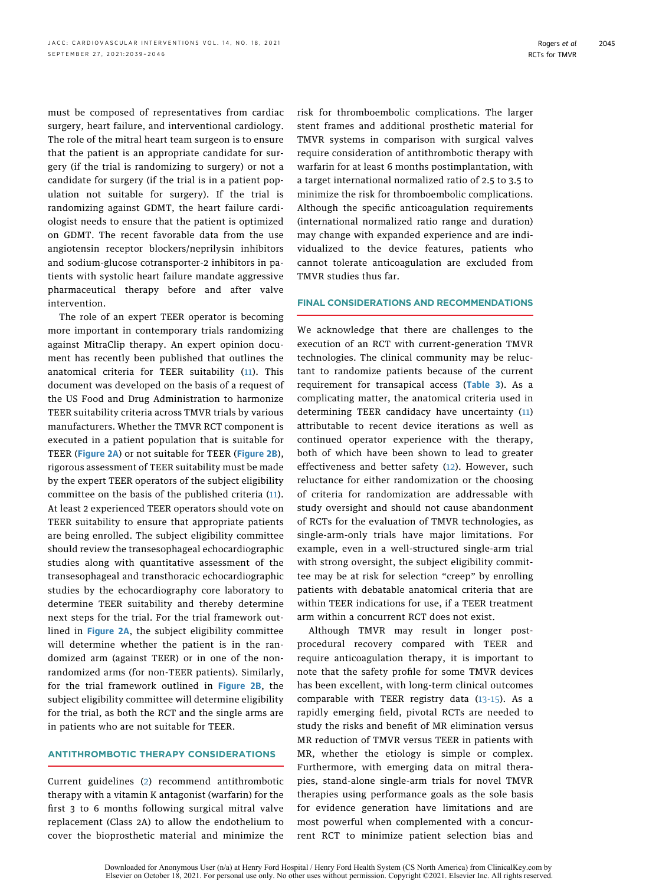must be composed of representatives from cardiac surgery, heart failure, and interventional cardiology. The role of the mitral heart team surgeon is to ensure that the patient is an appropriate candidate for surgery (if the trial is randomizing to surgery) or not a candidate for surgery (if the trial is in a patient population not suitable for surgery). If the trial is randomizing against GDMT, the heart failure cardiologist needs to ensure that the patient is optimized on GDMT. The recent favorable data from the use angiotensin receptor blockers/neprilysin inhibitors and sodium-glucose cotransporter-2 inhibitors in patients with systolic heart failure mandate aggressive pharmaceutical therapy before and after valve intervention.

The role of an expert TEER operator is becoming more important in contemporary trials randomizing against MitraClip therapy. An expert opinion document has recently been published that outlines the anatomical criteria for TEER suitability ([11\)](#page-9-10). This document was developed on the basis of a request of the US Food and Drug Administration to harmonize TEER suitability criteria across TMVR trials by various manufacturers. Whether the TMVR RCT component is executed in a patient population that is suitable for TEER ([Figure 2A](#page-6-0)) or not suitable for TEER ([Figure 2B](#page-6-0)), rigorous assessment of TEER suitability must be made by the expert TEER operators of the subject eligibility committee on the basis of the published criteria ([11\)](#page-9-10). At least 2 experienced TEER operators should vote on TEER suitability to ensure that appropriate patients are being enrolled. The subject eligibility committee should review the transesophageal echocardiographic studies along with quantitative assessment of the transesophageal and transthoracic echocardiographic studies by the echocardiography core laboratory to determine TEER suitability and thereby determine next steps for the trial. For the trial framework outlined in [Figure 2A](#page-6-0), the subject eligibility committee will determine whether the patient is in the randomized arm (against TEER) or in one of the nonrandomized arms (for non-TEER patients). Similarly, for the trial framework outlined in [Figure 2B](#page-6-0), the subject eligibility committee will determine eligibility for the trial, as both the RCT and the single arms are in patients who are not suitable for TEER.

#### ANTITHROMBOTIC THERAPY CONSIDERATIONS

Current guidelines ([2](#page-9-1)) recommend antithrombotic therapy with a vitamin K antagonist (warfarin) for the first 3 to 6 months following surgical mitral valve replacement (Class 2A) to allow the endothelium to cover the bioprosthetic material and minimize the risk for thromboembolic complications. The larger stent frames and additional prosthetic material for TMVR systems in comparison with surgical valves require consideration of antithrombotic therapy with warfarin for at least 6 months postimplantation, with a target international normalized ratio of 2.5 to 3.5 to minimize the risk for thromboembolic complications. Although the specific anticoagulation requirements (international normalized ratio range and duration) may change with expanded experience and are individualized to the device features, patients who cannot tolerate anticoagulation are excluded from TMVR studies thus far.

#### FINAL CONSIDERATIONS AND RECOMMENDATIONS

We acknowledge that there are challenges to the execution of an RCT with current-generation TMVR technologies. The clinical community may be reluctant to randomize patients because of the current requirement for transapical access ([Table 3](#page-7-0)). As a complicating matter, the anatomical criteria used in determining TEER candidacy have uncertainty ([11\)](#page-9-10) attributable to recent device iterations as well as continued operator experience with the therapy, both of which have been shown to lead to greater effectiveness and better safety [\(12](#page-9-11)). However, such reluctance for either randomization or the choosing of criteria for randomization are addressable with study oversight and should not cause abandonment of RCTs for the evaluation of TMVR technologies, as single-arm-only trials have major limitations. For example, even in a well-structured single-arm trial with strong oversight, the subject eligibility committee may be at risk for selection "creep" by enrolling patients with debatable anatomical criteria that are within TEER indications for use, if a TEER treatment arm within a concurrent RCT does not exist.

Although TMVR may result in longer postprocedural recovery compared with TEER and require anticoagulation therapy, it is important to note that the safety profile for some TMVR devices has been excellent, with long-term clinical outcomes comparable with TEER registry data [\(13-15](#page-9-12)). As a rapidly emerging field, pivotal RCTs are needed to study the risks and benefit of MR elimination versus MR reduction of TMVR versus TEER in patients with MR, whether the etiology is simple or complex. Furthermore, with emerging data on mitral therapies, stand-alone single-arm trials for novel TMVR therapies using performance goals as the sole basis for evidence generation have limitations and are most powerful when complemented with a concurrent RCT to minimize patient selection bias and